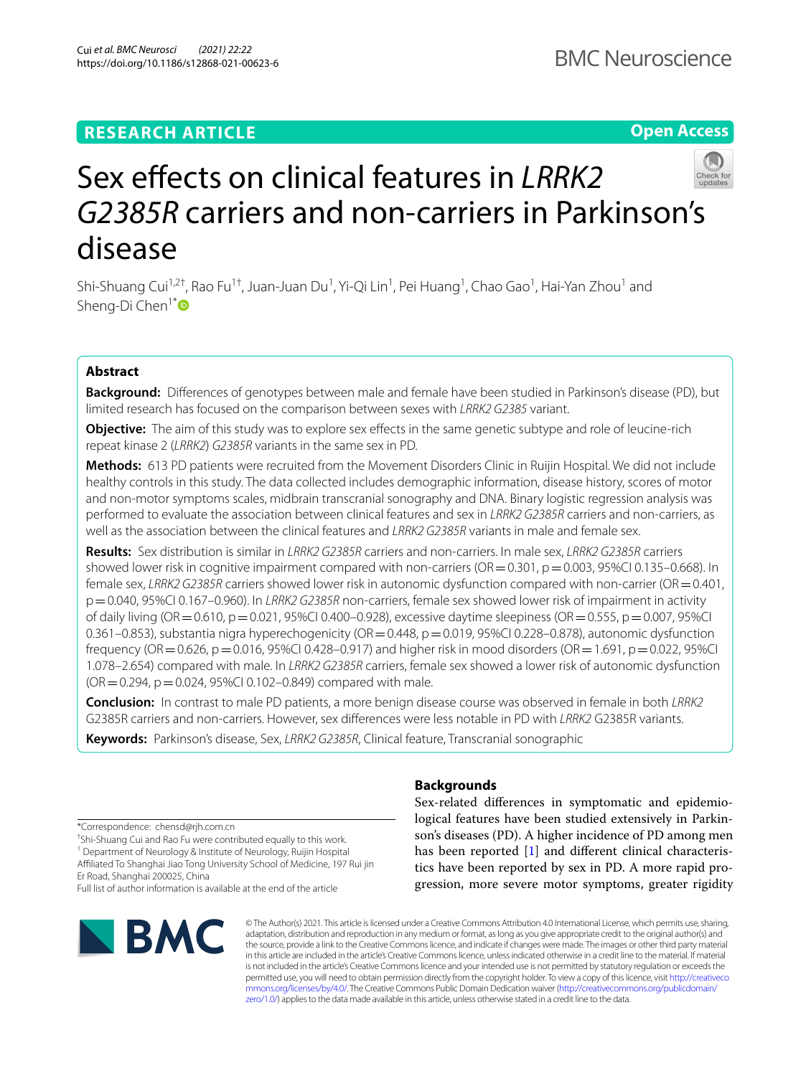**Open Access**



# Sex effects on clinical features in *LRRK2 G2385R* carriers and non-carriers in Parkinson's disease

Shi-Shuang Cui<sup>1,2†</sup>, Rao Fu<sup>1†</sup>, Juan-Juan Du<sup>1</sup>, Yi-Qi Lin<sup>1</sup>, Pei Huang<sup>1</sup>, Chao Gao<sup>1</sup>, Hai-Yan Zhou<sup>1</sup> and Sheng-Di Chen<sup>1[\\*](http://orcid.org/0000-0002-5356-338X)</sup>

# **Abstract**

**Background:** Diferences of genotypes between male and female have been studied in Parkinson's disease (PD), but limited research has focused on the comparison between sexes with *LRRK2 G2385* variant.

**Objective:** The aim of this study was to explore sex efects in the same genetic subtype and role of leucine-rich repeat kinase 2 (*LRRK2*) *G2385R* variants in the same sex in PD.

**Methods:** 613 PD patients were recruited from the Movement Disorders Clinic in Ruijin Hospital. We did not include healthy controls in this study. The data collected includes demographic information, disease history, scores of motor and non-motor symptoms scales, midbrain transcranial sonography and DNA. Binary logistic regression analysis was performed to evaluate the association between clinical features and sex in *LRRK2 G2385R* carriers and non-carriers, as well as the association between the clinical features and *LRRK2 G2385R* variants in male and female sex.

**Results:** Sex distribution is similar in *LRRK2 G2385R* carriers and non-carriers. In male sex, *LRRK2 G2385R* carriers showed lower risk in cognitive impairment compared with non-carriers ( $OR = 0.301$ ,  $p = 0.003$ , 95%CI 0.135–0.668). In female sex, *LRRK2 G2385R* carriers showed lower risk in autonomic dysfunction compared with non-carrier (OR=0.401, p=0.040, 95%CI 0.167–0.960). In *LRRK2 G2385R* non-carriers, female sex showed lower risk of impairment in activity of daily living (OR=0.610, p=0.021, 95%CI 0.400–0.928), excessive daytime sleepiness (OR=0.555, p=0.007, 95%CI 0.361–0.853), substantia nigra hyperechogenicity ( $OR = 0.448$ ,  $p = 0.019$ , 95%CI 0.228–0.878), autonomic dysfunction frequency (OR = 0.626, p = 0.016, 95%CI 0.428–0.917) and higher risk in mood disorders (OR = 1.691, p = 0.022, 95%CI 1.078–2.654) compared with male. In *LRRK2 G2385R* carriers, female sex showed a lower risk of autonomic dysfunction  $(OR = 0.294, p = 0.024, 95\% CI 0.102-0.849)$  compared with male.

**Conclusion:** In contrast to male PD patients, a more benign disease course was observed in female in both *LRRK2* G2385R carriers and non-carriers. However, sex diferences were less notable in PD with *LRRK2* G2385R variants.

**Keywords:** Parkinson's disease, Sex, *LRRK2 G2385R*, Clinical feature, Transcranial sonographic

\*Correspondence: chensd@rjh.com.cn

† Shi-Shuang Cui and Rao Fu were contributed equally to this work.

<sup>1</sup> Department of Neurology & Institute of Neurology, Ruijin Hospital Afliated To Shanghai Jiao Tong University School of Medicine, 197 Rui jin Er Road, Shanghai 200025, China

Full list of author information is available at the end of the article



# **Backgrounds**

Sex-related diferences in symptomatic and epidemiological features have been studied extensively in Parkinson's diseases (PD). A higher incidence of PD among men has been reported [\[1](#page-5-0)] and different clinical characteristics have been reported by sex in PD. A more rapid progression, more severe motor symptoms, greater rigidity

© The Author(s) 2021. This article is licensed under a Creative Commons Attribution 4.0 International License, which permits use, sharing, adaptation, distribution and reproduction in any medium or format, as long as you give appropriate credit to the original author(s) and the source, provide a link to the Creative Commons licence, and indicate if changes were made. The images or other third party material in this article are included in the article's Creative Commons licence, unless indicated otherwise in a credit line to the material. If material is not included in the article's Creative Commons licence and your intended use is not permitted by statutory regulation or exceeds the permitted use, you will need to obtain permission directly from the copyright holder. To view a copy of this licence, visit [http://creativeco](http://creativecommons.org/licenses/by/4.0/) [mmons.org/licenses/by/4.0/.](http://creativecommons.org/licenses/by/4.0/) The Creative Commons Public Domain Dedication waiver ([http://creativecommons.org/publicdomain/](http://creativecommons.org/publicdomain/zero/1.0/) [zero/1.0/\)](http://creativecommons.org/publicdomain/zero/1.0/) applies to the data made available in this article, unless otherwise stated in a credit line to the data.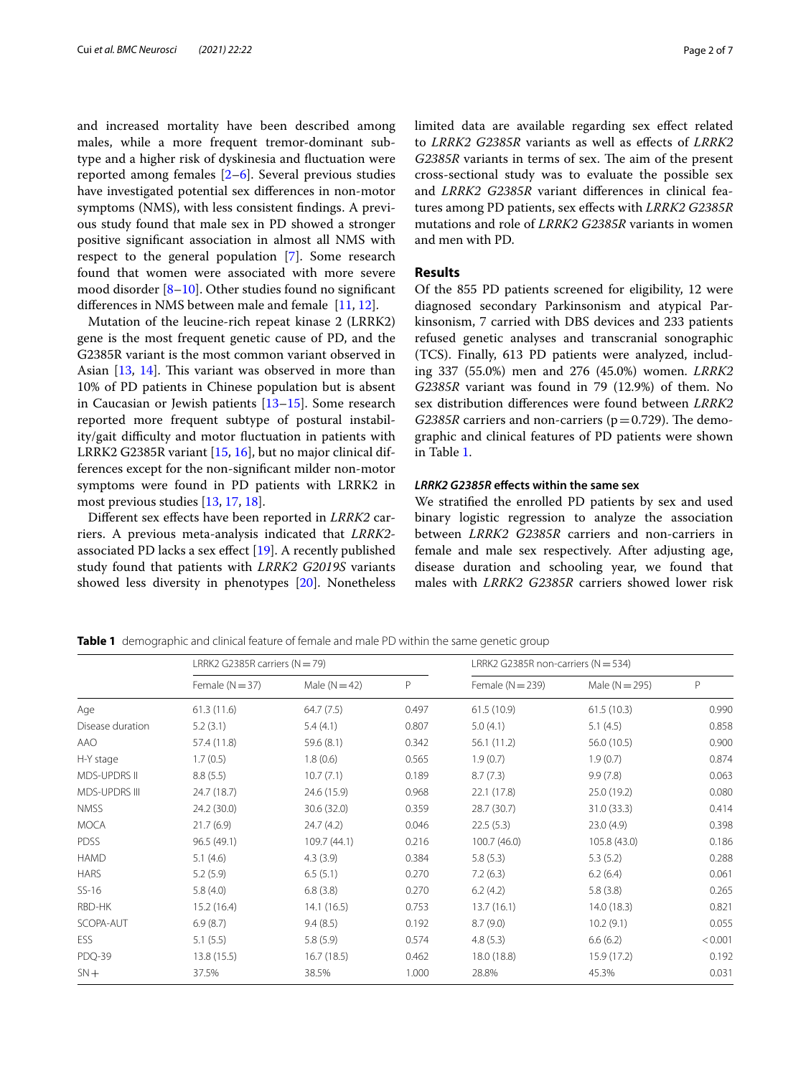and increased mortality have been described among males, while a more frequent tremor-dominant subtype and a higher risk of dyskinesia and fuctuation were reported among females [\[2](#page-5-1)[–6](#page-5-2)]. Several previous studies have investigated potential sex diferences in non-motor symptoms (NMS), with less consistent fndings. A previous study found that male sex in PD showed a stronger positive signifcant association in almost all NMS with respect to the general population [\[7\]](#page-5-3). Some research found that women were associated with more severe mood disorder [[8–](#page-6-0)[10](#page-6-1)]. Other studies found no signifcant diferences in NMS between male and female [[11,](#page-6-2) [12](#page-6-3)].

Mutation of the leucine-rich repeat kinase 2 (LRRK2) gene is the most frequent genetic cause of PD, and the G2385R variant is the most common variant observed in Asian  $[13, 14]$  $[13, 14]$  $[13, 14]$ . This variant was observed in more than 10% of PD patients in Chinese population but is absent in Caucasian or Jewish patients  $[13-15]$  $[13-15]$ . Some research reported more frequent subtype of postural instability/gait difficulty and motor fluctuation in patients with LRRK2 G2385R variant [[15,](#page-6-6) [16\]](#page-6-7), but no major clinical differences except for the non-signifcant milder non-motor symptoms were found in PD patients with LRRK2 in most previous studies [\[13,](#page-6-4) [17](#page-6-8), [18\]](#page-6-9).

Diferent sex efects have been reported in *LRRK2* carriers. A previous meta-analysis indicated that *LRRK2* associated PD lacks a sex efect [[19\]](#page-6-10). A recently published study found that patients with *LRRK2 G2019S* variants showed less diversity in phenotypes [\[20](#page-6-11)]. Nonetheless limited data are available regarding sex efect related to *LRRK2 G2385R* variants as well as efects of *LRRK2 G2385R* variants in terms of sex. The aim of the present cross-sectional study was to evaluate the possible sex and *LRRK2 G2385R* variant diferences in clinical features among PD patients, sex efects with *LRRK2 G2385R* mutations and role of *LRRK2 G2385R* variants in women and men with PD.

# **Results**

Of the 855 PD patients screened for eligibility, 12 were diagnosed secondary Parkinsonism and atypical Parkinsonism, 7 carried with DBS devices and 233 patients refused genetic analyses and transcranial sonographic (TCS). Finally, 613 PD patients were analyzed, including 337 (55.0%) men and 276 (45.0%) women. *LRRK2 G2385R* variant was found in 79 (12.9%) of them. No sex distribution diferences were found between *LRRK2 G2385R* carriers and non-carriers ( $p=0.729$ ). The demographic and clinical features of PD patients were shown in Table [1.](#page-1-0)

# *LRRK2 G2385R* **efects within the same sex**

We stratifed the enrolled PD patients by sex and used binary logistic regression to analyze the association between *LRRK2 G2385R* carriers and non-carriers in female and male sex respectively. After adjusting age, disease duration and schooling year, we found that males with *LRRK2 G2385R* carriers showed lower risk

<span id="page-1-0"></span>**Table 1** demographic and clinical feature of female and male PD within the same genetic group

|                      | LRRK2 G2385R carriers ( $N = 79$ ) |               |       | LRRK2 G2385R non-carriers ( $N = 534$ ) |                  |              |  |
|----------------------|------------------------------------|---------------|-------|-----------------------------------------|------------------|--------------|--|
|                      | Female ( $N = 37$ )                | Male $(N=42)$ | P     | Female $(N = 239)$                      | Male $(N = 295)$ | $\mathsf{P}$ |  |
| Age                  | 61.3(11.6)                         | 64.7(7.5)     | 0.497 | 61.5(10.9)                              | 61.5(10.3)       | 0.990        |  |
| Disease duration     | 5.2(3.1)                           | 5.4(4.1)      | 0.807 | 5.0(4.1)                                | 5.1(4.5)         | 0.858        |  |
| AAO                  | 57.4 (11.8)                        | 59.6 (8.1)    | 0.342 | 56.1(11.2)                              | 56.0 (10.5)      | 0.900        |  |
| H-Y stage            | 1.7(0.5)                           | 1.8(0.6)      | 0.565 | 1.9(0.7)                                | 1.9(0.7)         | 0.874        |  |
| <b>MDS-UPDRS II</b>  | 8.8(5.5)                           | 10.7(7.1)     | 0.189 | 8.7(7.3)                                | 9.9(7.8)         | 0.063        |  |
| <b>MDS-UPDRS III</b> | 24.7 (18.7)                        | 24.6 (15.9)   | 0.968 | 22.1(17.8)                              | 25.0 (19.2)      | 0.080        |  |
| <b>NMSS</b>          | 24.2 (30.0)                        | 30.6 (32.0)   | 0.359 | 28.7 (30.7)                             | 31.0 (33.3)      | 0.414        |  |
| <b>MOCA</b>          | 21.7(6.9)                          | 24.7(4.2)     | 0.046 | 22.5(5.3)                               | 23.0(4.9)        | 0.398        |  |
| <b>PDSS</b>          | 96.5 (49.1)                        | 109.7 (44.1)  | 0.216 | 100.7(46.0)                             | 105.8 (43.0)     | 0.186        |  |
| <b>HAMD</b>          | 5.1(4.6)                           | 4.3(3.9)      | 0.384 | 5.8(5.3)                                | 5.3(5.2)         | 0.288        |  |
| <b>HARS</b>          | 5.2(5.9)                           | 6.5(5.1)      | 0.270 | 7.2(6.3)                                | 6.2(6.4)         | 0.061        |  |
| $SS-16$              | 5.8(4.0)                           | 6.8(3.8)      | 0.270 | 6.2(4.2)                                | 5.8(3.8)         | 0.265        |  |
| RBD-HK               | 15.2(16.4)                         | 14.1(16.5)    | 0.753 | 13.7(16.1)                              | 14.0(18.3)       | 0.821        |  |
| SCOPA-AUT            | 6.9(8.7)                           | 9.4(8.5)      | 0.192 | 8.7(9.0)                                | 10.2(9.1)        | 0.055        |  |
| <b>ESS</b>           | 5.1(5.5)                           | 5.8(5.9)      | 0.574 | 4.8(5.3)                                | 6.6(6.2)         | < 0.001      |  |
| PDQ-39               | 13.8(15.5)                         | 16.7(18.5)    | 0.462 | 18.0 (18.8)                             | 15.9 (17.2)      | 0.192        |  |
| $SN+$                | 37.5%                              | 38.5%         | 1.000 | 28.8%                                   | 45.3%            | 0.031        |  |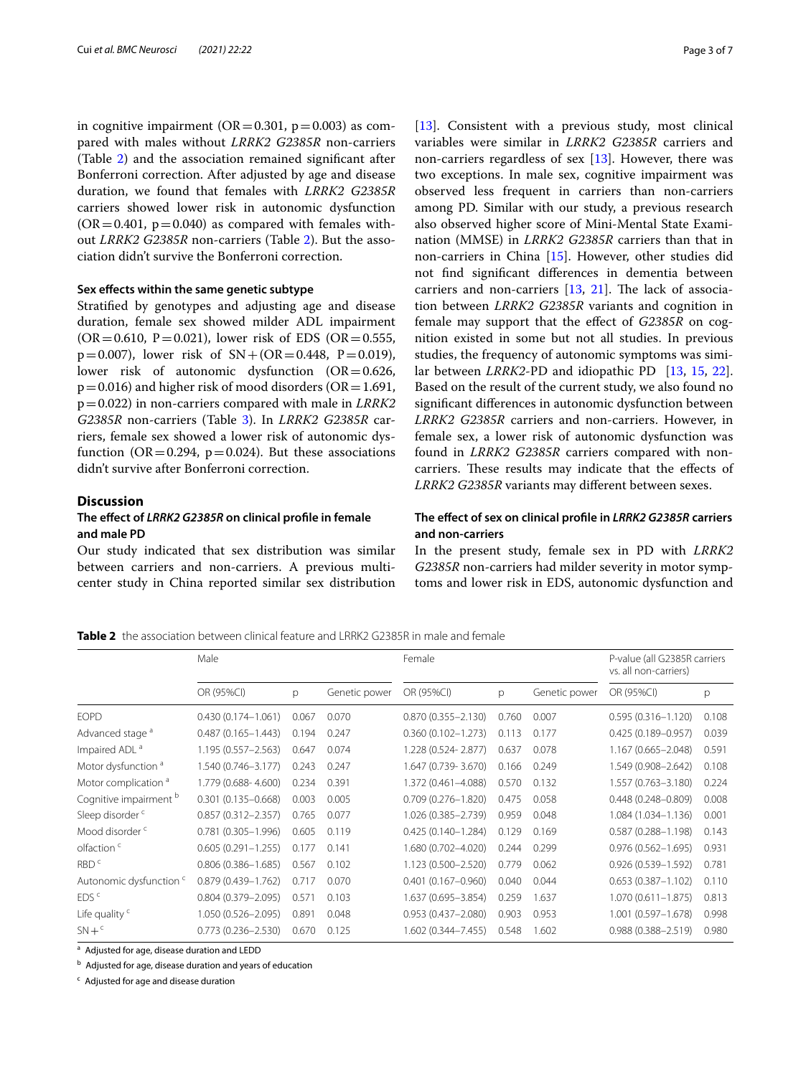in cognitive impairment ( $OR = 0.301$ ,  $p = 0.003$ ) as compared with males without *LRRK2 G2385R* non-carriers (Table [2\)](#page-2-0) and the association remained signifcant after Bonferroni correction. After adjusted by age and disease duration, we found that females with *LRRK2 G2385R* carriers showed lower risk in autonomic dysfunction  $(OR = 0.401, p = 0.040)$  as compared with females without *LRRK2 G2385R* non-carriers (Table [2](#page-2-0)). But the association didn't survive the Bonferroni correction.

#### **Sex efects within the same genetic subtype**

Stratifed by genotypes and adjusting age and disease duration, female sex showed milder ADL impairment  $(OR = 0.610, P = 0.021)$ , lower risk of EDS  $(OR = 0.555, P)$  $p=0.007$ ), lower risk of  $SN+(OR=0.448, P=0.019)$ , lower risk of autonomic dysfunction (OR=0.626,  $p=0.016$ ) and higher risk of mood disorders (OR = 1.691, p=0.022) in non-carriers compared with male in *LRRK2 G2385R* non-carriers (Table [3\)](#page-3-0). In *LRRK2 G2385R* carriers, female sex showed a lower risk of autonomic dysfunction ( $OR = 0.294$ ,  $p = 0.024$ ). But these associations didn't survive after Bonferroni correction.

### **Discussion**

# **The efect of** *LRRK2 G2385R* **on clinical profle in female and male PD**

Our study indicated that sex distribution was similar between carriers and non-carriers. A previous multicenter study in China reported similar sex distribution [[13\]](#page-6-4). Consistent with a previous study, most clinical variables were similar in *LRRK2 G2385R* carriers and non-carriers regardless of sex [[13](#page-6-4)]. However, there was two exceptions. In male sex, cognitive impairment was observed less frequent in carriers than non-carriers among PD. Similar with our study, a previous research also observed higher score of Mini-Mental State Examination (MMSE) in *LRRK2 G2385R* carriers than that in non-carriers in China [\[15](#page-6-6)]. However, other studies did not fnd signifcant diferences in dementia between carriers and non-carriers  $[13, 21]$  $[13, 21]$  $[13, 21]$  $[13, 21]$ . The lack of association between *LRRK2 G2385R* variants and cognition in female may support that the efect of *G2385R* on cognition existed in some but not all studies. In previous studies, the frequency of autonomic symptoms was similar between *LRRK2*-PD and idiopathic PD [\[13,](#page-6-4) [15,](#page-6-6) [22](#page-6-13)]. Based on the result of the current study, we also found no signifcant diferences in autonomic dysfunction between *LRRK2 G2385R* carriers and non-carriers. However, in female sex, a lower risk of autonomic dysfunction was found in *LRRK2 G2385R* carriers compared with noncarriers. These results may indicate that the effects of *LRRK2 G2385R* variants may diferent between sexes.

# **The efect of sex on clinical profle in** *LRRK2 G2385R* **carriers and non‑carriers**

In the present study, female sex in PD with *LRRK2 G2385R* non-carriers had milder severity in motor symptoms and lower risk in EDS, autonomic dysfunction and

<span id="page-2-0"></span>**Table 2** the association between clinical feature and LRRK2 G2385R in male and female

|                                    | Male                   |          |               | Female                 |       |               | P-value (all G2385R carriers<br>vs. all non-carriers) |       |
|------------------------------------|------------------------|----------|---------------|------------------------|-------|---------------|-------------------------------------------------------|-------|
|                                    | OR (95%CI)             | <b>D</b> | Genetic power | OR (95%CI)             | p     | Genetic power | OR (95%CI)                                            | p     |
| <b>EOPD</b>                        | $0.430(0.174 - 1.061)$ | 0.067    | 0.070         | $0.870(0.355 - 2.130)$ | 0.760 | 0.007         | $0.595(0.316 - 1.120)$                                | 0.108 |
| Advanced stage <sup>a</sup>        | $0.487(0.165 - 1.443)$ | 0.194    | 0.247         | $0.360(0.102 - 1.273)$ | 0.113 | 0.177         | $0.425(0.189 - 0.957)$                                | 0.039 |
| Impaired ADL <sup>a</sup>          | 1.195 (0.557-2.563)    | 0.647    | 0.074         | 1.228 (0.524-2.877)    | 0.637 | 0.078         | 1.167 (0.665-2.048)                                   | 0.591 |
| Motor dysfunction <sup>a</sup>     | 1.540 (0.746-3.177)    | 0.243    | 0.247         | 1.647 (0.739-3.670)    | 0.166 | 0.249         | 1.549 (0.908-2.642)                                   | 0.108 |
| Motor complication <sup>a</sup>    | 1.779 (0.688-4.600)    | 0.234    | 0.391         | 1.372 (0.461-4.088)    | 0.570 | 0.132         | 1.557 (0.763-3.180)                                   | 0.224 |
| Cognitive impairment b             | $0.301(0.135 - 0.668)$ | 0.003    | 0.005         | $0.709(0.276 - 1.820)$ | 0.475 | 0.058         | $0.448(0.248 - 0.809)$                                | 0.008 |
| Sleep disorder <sup>c</sup>        | $0.857(0.312 - 2.357)$ | 0.765    | 0.077         | 1.026 (0.385-2.739)    | 0.959 | 0.048         | 1.084 (1.034-1.136)                                   | 0.001 |
| Mood disorder <sup>c</sup>         | $0.781(0.305 - 1.996)$ | 0.605    | 0.119         | $0.425(0.140 - 1.284)$ | 0.129 | 0.169         | $0.587(0.288 - 1.198)$                                | 0.143 |
| olfaction <sup>c</sup>             | $0.605(0.291 - 1.255)$ | 0.177    | 0.141         | 1.680 (0.702-4.020)    | 0.244 | 0.299         | $0.976(0.562 - 1.695)$                                | 0.931 |
| RBD <sup>c</sup>                   | $0.806(0.386 - 1.685)$ | 0.567    | 0.102         | 1.123 (0.500-2.520)    | 0.779 | 0.062         | $0.926(0.539 - 1.592)$                                | 0.781 |
| Autonomic dysfunction <sup>c</sup> | $0.879(0.439 - 1.762)$ | 0.717    | 0.070         | $0.401(0.167 - 0.960)$ | 0.040 | 0.044         | $0.653(0.387 - 1.102)$                                | 0.110 |
| EDS <sup>c</sup>                   | $0.804(0.379 - 2.095)$ | 0.571    | 0.103         | 1.637 (0.695-3.854)    | 0.259 | 1.637         | $1.070(0.611 - 1.875)$                                | 0.813 |
| Life quality <sup>c</sup>          | 1.050 (0.526-2.095)    | 0.891    | 0.048         | $0.953(0.437 - 2.080)$ | 0.903 | 0.953         | 1.001 (0.597-1.678)                                   | 0.998 |
| $SN + c$                           | $0.773(0.236 - 2.530)$ | 0.670    | 0.125         | $1.602(0.344 - 7.455)$ | 0.548 | 1.602         | $0.988(0.388 - 2.519)$                                | 0.980 |

<sup>a</sup> Adjusted for age, disease duration and LEDD

<sup>b</sup> Adjusted for age, disease duration and years of education

<sup>c</sup> Adjusted for age and disease duration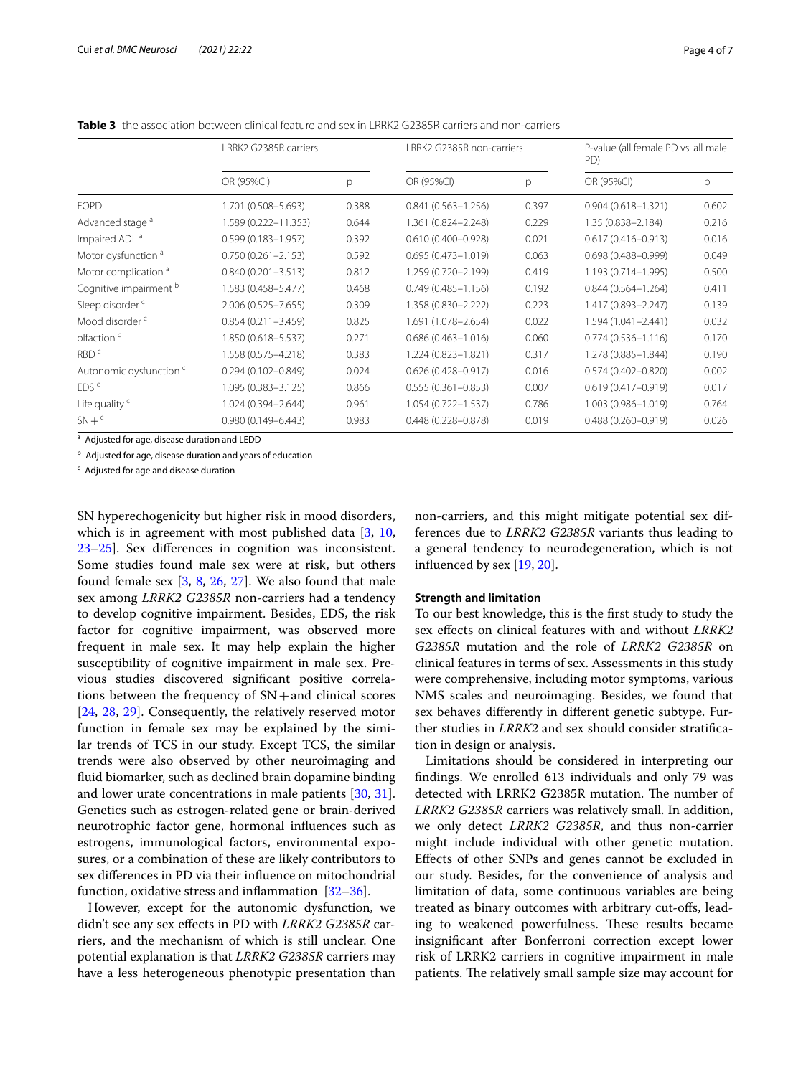<span id="page-3-0"></span>**Table 3** the association between clinical feature and sex in LRRK2 G2385R carriers and non-carriers

|                                    | LRRK2 G2385R carriers  |       | LRRK2 G2385R non-carriers |       | P-value (all female PD vs. all male<br>PD) |       |
|------------------------------------|------------------------|-------|---------------------------|-------|--------------------------------------------|-------|
|                                    | OR (95%CI)             | p     | OR (95%CI)                | p     | OR (95%CI)                                 | р     |
| <b>EOPD</b>                        | 1.701 (0.508-5.693)    | 0.388 | $0.841(0.563 - 1.256)$    | 0.397 | $0.904(0.618 - 1.321)$                     | 0.602 |
| Advanced stage <sup>a</sup>        | 1.589 (0.222-11.353)   | 0.644 | 1.361 (0.824-2.248)       | 0.229 | 1.35 (0.838-2.184)                         | 0.216 |
| Impaired ADL <sup>a</sup>          | $0.599(0.183 - 1.957)$ | 0.392 | $0.610(0.400 - 0.928)$    | 0.021 | $0.617(0.416 - 0.913)$                     | 0.016 |
| Motor dysfunction <sup>a</sup>     | $0.750(0.261 - 2.153)$ | 0.592 | $0.695(0.473 - 1.019)$    | 0.063 | $0.698(0.488 - 0.999)$                     | 0.049 |
| Motor complication <sup>a</sup>    | $0.840(0.201 - 3.513)$ | 0.812 | 1.259 (0.720-2.199)       | 0.419 | 1.193 (0.714-1.995)                        | 0.500 |
| Cognitive impairment b             | 1.583 (0.458-5.477)    | 0.468 | $0.749(0.485 - 1.156)$    | 0.192 | $0.844(0.564 - 1.264)$                     | 0.411 |
| Sleep disorder <sup>c</sup>        | 2.006 (0.525-7.655)    | 0.309 | 1.358 (0.830-2.222)       | 0.223 | 1.417 (0.893-2.247)                        | 0.139 |
| Mood disorder <sup>c</sup>         | $0.854(0.211 - 3.459)$ | 0.825 | 1.691 (1.078-2.654)       | 0.022 | 1.594 (1.041-2.441)                        | 0.032 |
| olfaction <sup>c</sup>             | 1.850 (0.618-5.537)    | 0.271 | $0.686(0.463 - 1.016)$    | 0.060 | $0.774(0.536 - 1.116)$                     | 0.170 |
| RBD <sup>c</sup>                   | 1.558 (0.575-4.218)    | 0.383 | 1.224 (0.823-1.821)       | 0.317 | 1.278 (0.885-1.844)                        | 0.190 |
| Autonomic dysfunction <sup>c</sup> | $0.294(0.102 - 0.849)$ | 0.024 | $0.626(0.428 - 0.917)$    | 0.016 | $0.574(0.402 - 0.820)$                     | 0.002 |
| EDS <sup>c</sup>                   | $1.095(0.383 - 3.125)$ | 0.866 | $0.555(0.361 - 0.853)$    | 0.007 | $0.619(0.417 - 0.919)$                     | 0.017 |
| Life quality <sup>c</sup>          | 1.024 (0.394-2.644)    | 0.961 | 1.054 (0.722-1.537)       | 0.786 | 1.003 (0.986-1.019)                        | 0.764 |
| $SN + c$                           | $0.980(0.149 - 6.443)$ | 0.983 | $0.448(0.228 - 0.878)$    | 0.019 | $0.488(0.260 - 0.919)$                     | 0.026 |

<sup>a</sup> Adjusted for age, disease duration and LEDD

<sup>b</sup> Adjusted for age, disease duration and years of education

<sup>c</sup> Adjusted for age and disease duration

SN hyperechogenicity but higher risk in mood disorders, which is in agreement with most published data [[3,](#page-5-4) [10](#page-6-1), [23–](#page-6-14)[25](#page-6-15)]. Sex diferences in cognition was inconsistent. Some studies found male sex were at risk, but others found female sex [[3,](#page-5-4) [8,](#page-6-0) [26](#page-6-16), [27](#page-6-17)]. We also found that male sex among *LRRK2 G2385R* non-carriers had a tendency to develop cognitive impairment. Besides, EDS, the risk factor for cognitive impairment, was observed more frequent in male sex. It may help explain the higher susceptibility of cognitive impairment in male sex. Previous studies discovered signifcant positive correlations between the frequency of  $SN+$ and clinical scores [[24,](#page-6-18) [28](#page-6-19), [29](#page-6-20)]. Consequently, the relatively reserved motor function in female sex may be explained by the similar trends of TCS in our study. Except TCS, the similar trends were also observed by other neuroimaging and fuid biomarker, such as declined brain dopamine binding and lower urate concentrations in male patients [\[30](#page-6-21), [31](#page-6-22)]. Genetics such as estrogen-related gene or brain-derived neurotrophic factor gene, hormonal infuences such as estrogens, immunological factors, environmental exposures, or a combination of these are likely contributors to sex diferences in PD via their infuence on mitochondrial function, oxidative stress and infammation [\[32](#page-6-23)–[36\]](#page-6-24).

However, except for the autonomic dysfunction, we didn't see any sex efects in PD with *LRRK2 G2385R* carriers, and the mechanism of which is still unclear. One potential explanation is that *LRRK2 G2385R* carriers may have a less heterogeneous phenotypic presentation than non-carriers, and this might mitigate potential sex differences due to *LRRK2 G2385R* variants thus leading to a general tendency to neurodegeneration, which is not infuenced by sex [\[19](#page-6-10), [20\]](#page-6-11).

#### **Strength and limitation**

To our best knowledge, this is the frst study to study the sex efects on clinical features with and without *LRRK2 G2385R* mutation and the role of *LRRK2 G2385R* on clinical features in terms of sex. Assessments in this study were comprehensive, including motor symptoms, various NMS scales and neuroimaging. Besides, we found that sex behaves diferently in diferent genetic subtype. Further studies in *LRRK2* and sex should consider stratifcation in design or analysis.

Limitations should be considered in interpreting our fndings. We enrolled 613 individuals and only 79 was detected with LRRK2 G2385R mutation. The number of *LRRK2 G2385R* carriers was relatively small. In addition, we only detect *LRRK2 G2385R*, and thus non-carrier might include individual with other genetic mutation. Efects of other SNPs and genes cannot be excluded in our study. Besides, for the convenience of analysis and limitation of data, some continuous variables are being treated as binary outcomes with arbitrary cut-ofs, leading to weakened powerfulness. These results became insignifcant after Bonferroni correction except lower risk of LRRK2 carriers in cognitive impairment in male patients. The relatively small sample size may account for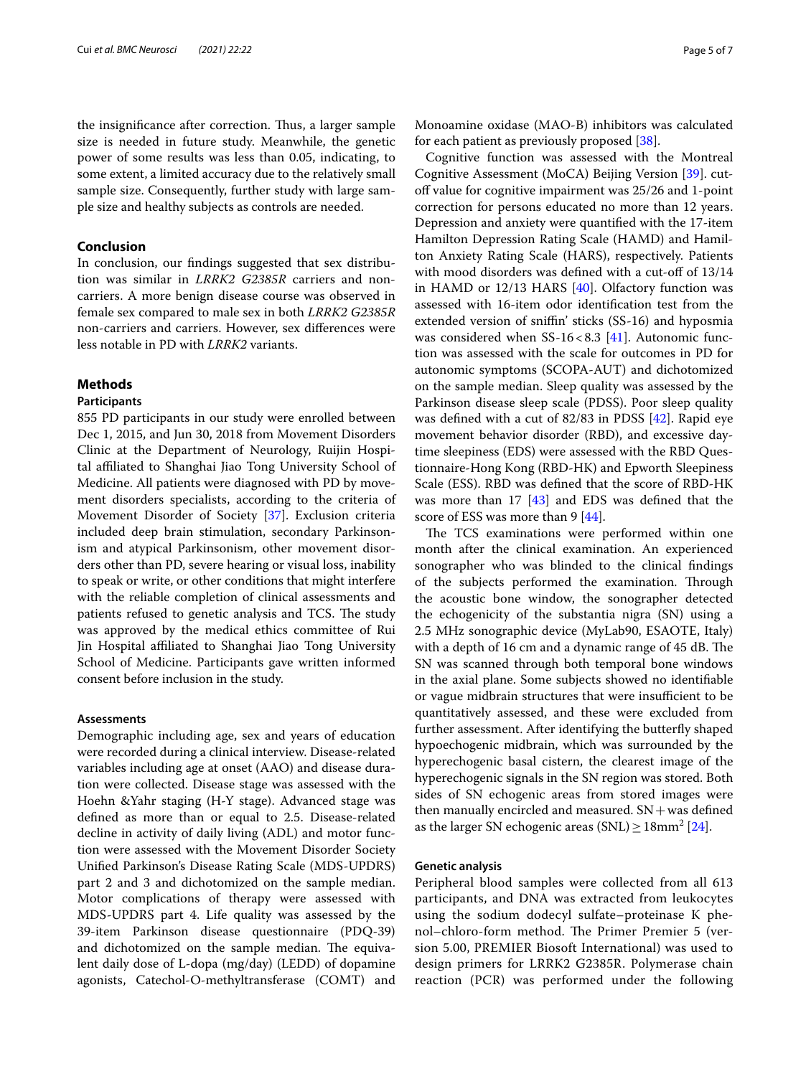the insignificance after correction. Thus, a larger sample size is needed in future study. Meanwhile, the genetic power of some results was less than 0.05, indicating, to some extent, a limited accuracy due to the relatively small sample size. Consequently, further study with large sample size and healthy subjects as controls are needed.

# **Conclusion**

In conclusion, our fndings suggested that sex distribution was similar in *LRRK2 G2385R* carriers and noncarriers. A more benign disease course was observed in female sex compared to male sex in both *LRRK2 G2385R* non-carriers and carriers. However, sex diferences were less notable in PD with *LRRK2* variants.

# **Methods**

### **Participants**

855 PD participants in our study were enrolled between Dec 1, 2015, and Jun 30, 2018 from Movement Disorders Clinic at the Department of Neurology, Ruijin Hospital affiliated to Shanghai Jiao Tong University School of Medicine. All patients were diagnosed with PD by movement disorders specialists, according to the criteria of Movement Disorder of Society [[37\]](#page-6-25). Exclusion criteria included deep brain stimulation, secondary Parkinsonism and atypical Parkinsonism, other movement disorders other than PD, severe hearing or visual loss, inability to speak or write, or other conditions that might interfere with the reliable completion of clinical assessments and patients refused to genetic analysis and TCS. The study was approved by the medical ethics committee of Rui Jin Hospital afliated to Shanghai Jiao Tong University School of Medicine. Participants gave written informed consent before inclusion in the study.

#### **Assessments**

Demographic including age, sex and years of education were recorded during a clinical interview. Disease-related variables including age at onset (AAO) and disease duration were collected. Disease stage was assessed with the Hoehn &Yahr staging (H-Y stage). Advanced stage was defned as more than or equal to 2.5. Disease-related decline in activity of daily living (ADL) and motor function were assessed with the Movement Disorder Society Unifed Parkinson's Disease Rating Scale (MDS-UPDRS) part 2 and 3 and dichotomized on the sample median. Motor complications of therapy were assessed with MDS-UPDRS part 4. Life quality was assessed by the 39-item Parkinson disease questionnaire (PDQ-39) and dichotomized on the sample median. The equivalent daily dose of L-dopa (mg/day) (LEDD) of dopamine agonists, Catechol-O-methyltransferase (COMT) and

Cognitive function was assessed with the Montreal Cognitive Assessment (MoCA) Beijing Version [\[39\]](#page-6-27). cutoff value for cognitive impairment was 25/26 and 1-point correction for persons educated no more than 12 years. Depression and anxiety were quantifed with the 17-item Hamilton Depression Rating Scale (HAMD) and Hamilton Anxiety Rating Scale (HARS), respectively. Patients with mood disorders was defined with a cut-off of 13/14 in HAMD or 12/13 HARS [\[40](#page-6-28)]. Olfactory function was assessed with 16-item odor identifcation test from the extended version of sniffin' sticks (SS-16) and hyposmia was considered when  $SS-16 < 8.3$  [\[41](#page-6-29)]. Autonomic function was assessed with the scale for outcomes in PD for autonomic symptoms (SCOPA-AUT) and dichotomized on the sample median. Sleep quality was assessed by the Parkinson disease sleep scale (PDSS). Poor sleep quality was defned with a cut of 82/83 in PDSS [[42\]](#page-6-30). Rapid eye movement behavior disorder (RBD), and excessive daytime sleepiness (EDS) were assessed with the RBD Questionnaire-Hong Kong (RBD-HK) and Epworth Sleepiness Scale (ESS). RBD was defned that the score of RBD-HK was more than 17 [[43\]](#page-6-31) and EDS was defned that the score of ESS was more than 9 [[44\]](#page-6-32).

The TCS examinations were performed within one month after the clinical examination. An experienced sonographer who was blinded to the clinical fndings of the subjects performed the examination. Through the acoustic bone window, the sonographer detected the echogenicity of the substantia nigra (SN) using a 2.5 MHz sonographic device (MyLab90, ESAOTE, Italy) with a depth of 16 cm and a dynamic range of 45 dB. The SN was scanned through both temporal bone windows in the axial plane. Some subjects showed no identifable or vague midbrain structures that were insufficient to be quantitatively assessed, and these were excluded from further assessment. After identifying the butterfy shaped hypoechogenic midbrain, which was surrounded by the hyperechogenic basal cistern, the clearest image of the hyperechogenic signals in the SN region was stored. Both sides of SN echogenic areas from stored images were then manually encircled and measured.  $SN + was$  defined as the larger SN echogenic areas  $(SNL) \ge 18mm^2$  [[24\]](#page-6-18).

#### **Genetic analysis**

Peripheral blood samples were collected from all 613 participants, and DNA was extracted from leukocytes using the sodium dodecyl sulfate–proteinase K phenol–chloro-form method. The Primer Premier 5 (version 5.00, PREMIER Biosoft International) was used to design primers for LRRK2 G2385R. Polymerase chain reaction (PCR) was performed under the following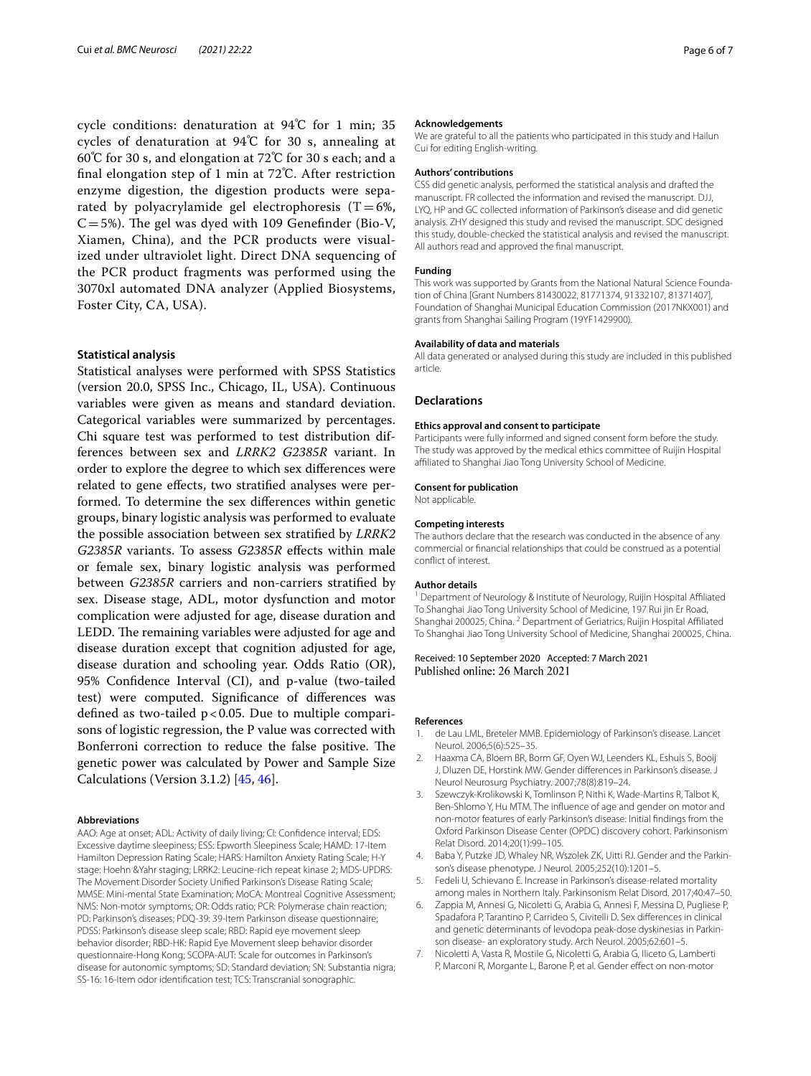cycle conditions: denaturation at 94℃ for 1 min; 35 cycles of denaturation at 94℃ for 30 s, annealing at 60℃ for 30 s, and elongation at 72℃ for 30 s each; and a fnal elongation step of 1 min at 72℃. After restriction enzyme digestion, the digestion products were separated by polyacrylamide gel electrophoresis  $(T=6\%,$  $C=5%$ ). The gel was dyed with 109 Genefinder (Bio-V, Xiamen, China), and the PCR products were visualized under ultraviolet light. Direct DNA sequencing of the PCR product fragments was performed using the 3070xl automated DNA analyzer (Applied Biosystems, Foster City, CA, USA).

#### **Statistical analysis**

Statistical analyses were performed with SPSS Statistics (version 20.0, SPSS Inc., Chicago, IL, USA). Continuous variables were given as means and standard deviation. Categorical variables were summarized by percentages. Chi square test was performed to test distribution differences between sex and *LRRK2 G2385R* variant. In order to explore the degree to which sex diferences were related to gene efects, two stratifed analyses were performed. To determine the sex diferences within genetic groups, binary logistic analysis was performed to evaluate the possible association between sex stratifed by *LRRK2 G2385R* variants. To assess *G2385R* efects within male or female sex, binary logistic analysis was performed between *G2385R* carriers and non-carriers stratifed by sex. Disease stage, ADL, motor dysfunction and motor complication were adjusted for age, disease duration and LEDD. The remaining variables were adjusted for age and disease duration except that cognition adjusted for age, disease duration and schooling year. Odds Ratio (OR), 95% Confdence Interval (CI), and p-value (two-tailed test) were computed. Signifcance of diferences was defned as two-tailed p<0.05. Due to multiple comparisons of logistic regression, the P value was corrected with Bonferroni correction to reduce the false positive. The genetic power was calculated by Power and Sample Size Calculations (Version 3.1.2) [[45,](#page-6-33) [46](#page-6-34)].

#### **Abbreviations**

AAO: Age at onset; ADL: Activity of daily living; CI: Confdence interval; EDS: Excessive daytime sleepiness; ESS: Epworth Sleepiness Scale; HAMD: 17-Item Hamilton Depression Rating Scale; HARS: Hamilton Anxiety Rating Scale; H-Y stage: Hoehn &Yahr staging; LRRK2: Leucine-rich repeat kinase 2; MDS-UPDRS: The Movement Disorder Society Unifed Parkinson's Disease Rating Scale; MMSE: Mini-mental State Examination; MoCA: Montreal Cognitive Assessment; NMS: Non-motor symptoms; OR: Odds ratio; PCR: Polymerase chain reaction; PD: Parkinson's diseases; PDQ-39: 39-Item Parkinson disease questionnaire; PDSS: Parkinson's disease sleep scale; RBD: Rapid eye movement sleep behavior disorder; RBD-HK: Rapid Eye Movement sleep behavior disorder questionnaire-Hong Kong; SCOPA-AUT: Scale for outcomes in Parkinson's disease for autonomic symptoms; SD: Standard deviation; SN: Substantia nigra; SS-16: 16-Item odor identifcation test; TCS: Transcranial sonographic.

#### **Acknowledgements**

We are grateful to all the patients who participated in this study and Hailun Cui for editing English-writing.

#### **Authors' contributions**

CSS did genetic analysis, performed the statistical analysis and drafted the manuscript. FR collected the information and revised the manuscript. DJJ, LYQ, HP and GC collected information of Parkinson's disease and did genetic analysis. ZHY designed this study and revised the manuscript. SDC designed this study, double-checked the statistical analysis and revised the manuscript. All authors read and approved the fnal manuscript.

#### **Funding**

This work was supported by Grants from the National Natural Science Foundation of China [Grant Numbers 81430022, 81771374, 91332107, 81371407], Foundation of Shanghai Municipal Education Commission (2017NKX001) and grants from Shanghai Sailing Program (19YF1429900).

#### **Availability of data and materials**

All data generated or analysed during this study are included in this published article.

#### **Declarations**

#### **Ethics approval and consent to participate**

Participants were fully informed and signed consent form before the study. The study was approved by the medical ethics committee of Ruijin Hospital affiliated to Shanghai Jiao Tong University School of Medicine.

#### **Consent for publication**

Not applicable.

#### **Competing interests**

The authors declare that the research was conducted in the absence of any commercial or fnancial relationships that could be construed as a potential confict of interest.

#### **Author details**

<sup>1</sup> Department of Neurology & Institute of Neurology, Ruijin Hospital Affiliated To Shanghai Jiao Tong University School of Medicine, 197 Rui jin Er Road, Shanghai 200025, China. <sup>2</sup> Department of Geriatrics, Ruijin Hospital Afliated To Shanghai Jiao Tong University School of Medicine, Shanghai 200025, China.

Received: 10 September 2020 Accepted: 7 March 2021 Published online: 26 March 2021

#### **References**

- <span id="page-5-0"></span>1. de Lau LML, Breteler MMB. Epidemiology of Parkinson's disease. Lancet Neurol. 2006;5(6):525–35.
- <span id="page-5-1"></span>2. Haaxma CA, Bloem BR, Borm GF, Oyen WJ, Leenders KL, Eshuis S, Booij J, Dluzen DE, Horstink MW. Gender diferences in Parkinson's disease. J Neurol Neurosurg Psychiatry. 2007;78(8):819–24.
- <span id="page-5-4"></span>3. Szewczyk-Krolikowski K, Tomlinson P, Nithi K, Wade-Martins R, Talbot K, Ben-Shlomo Y, Hu MTM. The infuence of age and gender on motor and non-motor features of early Parkinson's disease: Initial fndings from the Oxford Parkinson Disease Center (OPDC) discovery cohort. Parkinsonism Relat Disord. 2014;20(1):99–105.
- Baba Y, Putzke JD, Whaley NR, Wszolek ZK, Uitti RJ. Gender and the Parkinson's disease phenotype. J Neurol. 2005;252(10):1201–5.
- 5. Fedeli U, Schievano E. Increase in Parkinson's disease-related mortality among males in Northern Italy. Parkinsonism Relat Disord. 2017;40:47–50.
- <span id="page-5-2"></span>6. Zappia M, Annesi G, Nicoletti G, Arabia G, Annesi F, Messina D, Pugliese P, Spadafora P, Tarantino P, Carrideo S, Civitelli D. Sex diferences in clinical and genetic determinants of levodopa peak-dose dyskinesias in Parkinson disease- an exploratory study. Arch Neurol. 2005;62:601–5.
- <span id="page-5-3"></span>7. Nicoletti A, Vasta R, Mostile G, Nicoletti G, Arabia G, Iliceto G, Lamberti P, Marconi R, Morgante L, Barone P, et al. Gender effect on non-motor